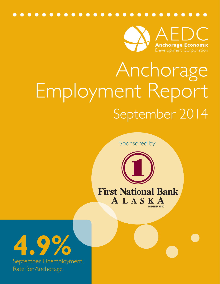

# Anchorage Employment Report September 2014

Sponsored by:



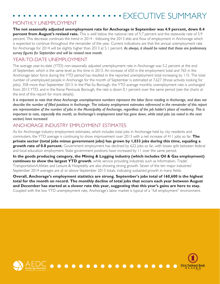# EXECUTIVE SUMMARY

## MONTHI Y UNFMPI OYMENT

**The not seasonally adjusted unemployment rate for Anchorage in September was 4.9 percent, down 0.4 percent from August's revised rate.** This is well below the national rate of 5.7 percent and the statewide rate of 5.9 percent. This decrease continues the trend in 2014 - following the 2013 ebb and flow of employment in Anchorage which is expected to continue throughout the remainder of the year. Current indications are that the annual unemployment rate for Anchorage for 2014 will be slightly higher than 2013 at 5.1 percent. *As always, it should be noted that these are preliminary survey figures for September and will be revised next month.* 

# YEAR-TO-DATE UNEMPLOYMENT

The average year-to-date (YTD) non-seasonally adjusted unemployment rate in Anchorage was 5.2 percent at the end of September, which is the same level as this time in 2013. An increase of 650 in the employment total and 765 in the Anchorage labor force during the YTD period has resulted in the reported unemployment total increasing by 115. The total number of unemployed people in Anchorage for the month of September is estimated at 7,627 (those actively looking for jobs), 358 more than September 2013. In the Mat-Su Borough, the YTD average monthly unemployment rate is unchanged from 2013 YTD, and in the Kenai Peninsula Borough, the rate is down 0.1 percent over the same period (see the charts at the end of this report for more details).

*It is important to note that these Anchorage unemployment numbers represent the labor force residing in Anchorage, and does not describe the number of filled positions in Anchorage. The industry employment estimates referenced in the remainder of this report are representative of the number of jobs in the Municipality of Anchorage, regardless of the job holder's place of residency. This is important to note, especially this month, as Anchorage's employment total has gone down, while total jobs (as noted in the next section) have increased.*

# ANCHORAGE INDUSTRY EMPLOYMENT ESTIMATES

As for Anchorage industry employment estimates, which includes total jobs in Anchorage held by city residents and commuters, the YTD average is continuing to show improvement over 2013 with a net increase of 411 jobs so far. **The private sector (total jobs minus government jobs) has grown by 1,033 jobs during this time, equaling a growth rate of 0.8 percent.** Government employment has declined by 622 jobs so far, with losses split between federal and local education employment. State government positions have increased by 11 over the same period.

**In the goods producing category, the Mining & Logging industry (which includes Oil & Gas employment) continues to show the largest YTD growth**, while service providing industries such as Information, Trade/ Transportation/Utilities and Leisure & Hospitality are also showing strong growth. Seven of the ten major industries' September 2014 averages are at or above September 2013 totals, indicating sustained growth in many fields.

**Overall, Anchorage's employment statistics are strong. September's jobs total of 160,600 is the highest total for the month on record. The monthly decline of total jobs that occurs each year between August and December has started at a slower rate this year, suggesting that this year's gains are here to stay.**  Coupled with the low YTD unemployment rate, Anchorage's labor market is typical of a "full employment" environment.

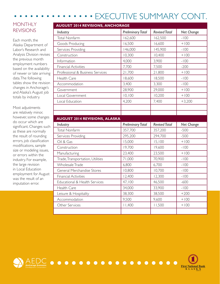#### EXECUTIVE SUMMARY CONT.  $\bullet$

# **MONTHLY** REVISIONS

Each month, the Alaska Department of Labor's Research and Analysis Division revises the previous month employment numbers based on the availability of newer or late arriving data. The following tables show the revision changes in Anchorage's and Alaska's August job totals by industry.

Most adjustments are relatively minor, however, some changes do occur which are significant. Changes such as these are normally the result of rounding errors, job classification modifications, sample size or modeling issues, or errors within the industry. For example, the large revision in Local Education employment for August was the result of an imputation error.

| <b>AUGUST 2014 REVISIONS, ANCHORAGE</b> |                          |                      |            |
|-----------------------------------------|--------------------------|----------------------|------------|
| Industry                                | <b>Preliminary Total</b> | <b>Revised Total</b> | Net Change |
| <b>Total Nonfarm</b>                    | 162,600                  | 162,500              | $-100$     |
| Goods Producing                         | 16,500                   | 16,600               | $+100$     |
| Services Providing                      | 146,000                  | 145,900              | $-100$     |
| Construction                            | 10,300                   | 10,400               | $+100$     |
| Information                             | 4,000                    | 3,900                | $-100$     |
| <b>Financial Activities</b>             | 7,700                    | 7,500                | $-200$     |
| Professional & Business Services        | 21,700                   | 21,800               | $+100$     |
| Health Care                             | 18,600                   | 18,500               | $-100$     |
| Accommodation                           | 3,400                    | 3,300                | $-100$     |
| Government                              | 28,900                   | 29,000               | $+100$     |
| Local Government                        | 10, 100                  | 10,200               | $+100$     |
| Local Education                         | 4,200                    | 7,400                | $+3,200$   |
|                                         |                          |                      |            |
|                                         |                          |                      |            |
|                                         |                          |                      |            |
| <b>AUGUST 2014 REVISIONS, ALASKA</b>    |                          |                      |            |
| Industry                                | <b>Preliminary Total</b> | <b>Revised Total</b> | Net Change |
| <b>Total Nonfarm</b>                    | 357,700                  | 357,200              | $-500$     |
| Services Providing                      | 295,200                  | 294,700              | $-500$     |
| Oil & Gas                               | 15,000                   | 15,100               | $+100$     |
| Construction                            | 19,700                   | 19,600               | $-100$     |
| Manufacturing                           | 23,400                   | 23,500               | $+100$     |
| Trade, Transportation, Utilities        | 71,000                   | 70,900               | $-100$     |
| <b>Wholesale Trade</b>                  | 6,800                    | 6,700                | $-100$     |
| General Merchandise Stores              | 10,800                   | 10,700               | $-100$     |
| <b>Financial Activities</b>             | 12,400                   | 12,300               | $-100$     |
| Educational & Health Services           | 47,100                   | 46,500               | $-600$     |
| Health Care                             | 34,000                   | 33,900               | $-100$     |
| Leisure & Hospitality                   | 38,300                   | 38,500               | $+200$     |
| Accommodation                           | 9,500                    | 9,600                | $+100$     |
| Other Services                          | 11,400                   | 11,500               | $+100$     |



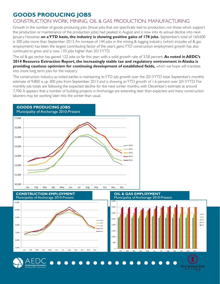# **GOODS PRODUCING JOBS**

# CONSTRUCTION WORK, MINING, OIL & GAS PRODUCTION, MANUFACTURING

Growth in the number of goods producing jobs (those jobs that are specifically tied to production, not those which support the production or maintenance of the production jobs) had peaked in August and is now into its annual decline into next January. However, **on a YTD basis, the industry is showing positive gains of 178 jobs.** September's total of 160,600 is 300 jobs more than September 2013. An increase of 144 jobs in the mining & logging industry (which includes oil & gas employment) has been the largest contributing factor of the year's gains. YTD construction employment growth has also continued to grow and is now 133 jobs higher than 2013 YTD.

The oil & gas sector has gained 122 jobs so far this year; with a solid growth rate of 3.58 percent. **As noted in AEDC's 2014 Resource Extraction Report, the increasingly stable tax and regulatory environment in Alaska is providing cautious optimism for continuing development of established fields,** which we hope will translate into more long term jobs for the industry.

The construction industry, as noted earlier, is maintaining its YTD job growth over the 2013 YTD total. September's monthly estimate of 9,800 is up 300 jobs from September 2013 and is showing an YTD growth of 1.6 percent over 2013 YTD. The monthly job totals are following the expected decline for the next winter months, with December's estimate at around 7,700. It appears that a number of building projects in Anchorage are extending later than expected and many construction laborers may be working later into the winter than usual.



**Eirst National Bank**<br> **A** L A S **K A**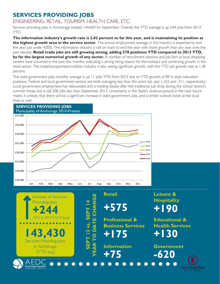# **SERVICES PROVIDING JOBS**

# ENGINEERING, RETAIL, TOURISM, HEALTH CARE, ETC.

Services providing jobs in Anchorage totaled 144,600 for September. Overall, the YTD average is up 244 jobs from 2013 YTD.

**The information industry's growth rate is 2.02 percent so far this year, and is maintaining its position as the highest growth area in the service sector.** The annual employment average in this industry is expected to end the year just under 4,000. The information industry is still on track to end the year with more growth than any year over the past decade. **Retail trade jobs are still growing strong, adding 578 positions YTD compared to 2013 YTD, by far the largest numerical growth of any sector.** A number of recruitment sessions and job fairs at local shopping centers have occurred in the past few months, indicating a strong hiring season for the holidays and continuing growth in the retail sector. The trade/transportation/utilities industry is also seeing significant growth, with the YTD job growth rate at 1.28 percent.

The state government jobs monthly average is up 11 jobs YTD from 2013 due to YTD growth of 89 in state education positions. Federal and local government sectors are both averaging less than this point last year (-322 and -311, respectively). Local government employment has rebounded and is holding steady after the traditional July drop during the school district's summer break, but is still 200 jobs less than September 2013. Uncertainty in the State's revenue picture in the near future makes it unlikely that there will be a significant increase in state government jobs, and a similar outlook holds at the local level as well.

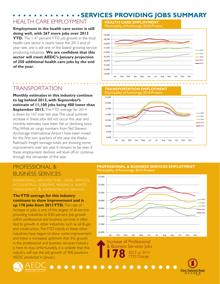# **SERVICES PROVIDING JOBS SUMMARY**

15,500

0

# HEALTH CARE EMPLOYMENT

**Employment in the health care sector is still doing well, with 267 more jobs over 2013 YTD.** The 1.47 percent YTD job growth in the local health care sector is nearly twice the 2013 end of year rate, and is still one of the fastest growing service producing industries. **We are confident that this sector will meet AEDC's January projection of 250 additional health care jobs by the end of the year.** 

#### **HEALTH CARE EMPLOYMENT** Municipality of Anchorage 2010-Present Municipality of Anchorage 2010-Present 16,000 16,500 17,000 17,500 18,000 18,500 19,000

14,500 15,000 Jan Feb Mar Apr May Jun Jul Aug Sep Oct Nov Dec

**TRANSPORTATION EMPLOYMENT** 

# TRANSPORTATION

**Monthly estimates in this industry continue to lag behind 2013, with September's estimate of 11,100 jobs being 400 lower than September 2013.** The YTD average for 2014 is down by 167 over last year. The usual summer increase in these jobs did not occur this year and monthly estimates have been flat or declining since May. While air cargo numbers from Ted Stevens Anchorage International Airport have been mixed for the first two quarters of the year, the Alaska Railroad's freight tonnage totals are showing some improvement over last year. It remains to be seen if these employment declines will level off or continue through the remainder of the year.

# PROFESSIONAL & BUSINESS SERVICES

engineering, architecture, legal services, accounting, scientific research, waste management & administrative services

#### **The YTD average for this industry continues to show improvement and is up 178 jobs from 2013 YTD.** The rate of

increase in jobs is one of the largest of all service providing industries at 0.85 percent. Job growth within professional and business services is often tied to growth in other industries such as oil & gas and construction. The YTD trends in these other industries have begun to show some improvement and there is increased optimism that this growth in the professional and business services industry is here to stay. Unfortunately, it is unlikely that this industry will see the job growth of 400 positions AEDC predicted in January.

#### Oil & Gas Employment Municipality of Anchorage 2010-Present 2010 2011 2012 2013 2014 Municipality of Anchorage 2010-Present 9,000 9,500 10,000 10,500 11,000 11,500 12,000 12,500 Jan Feb Mar Apr May Jun Jul Aug Sep Oct Nov Dec 2010 2011 2012 2013  $2014$

Transporation/Warehouse/Utilities Employment

#### Professional & Business Services Municipality of Anchorage 2010-Present **PROFESSIONAL & BUSINESS SERVICES EMPLOYMENT** Municipality of Anthorage, 2011 - Present and Angles Contractor Contractor Contractor Contractor Contractor Co



**ALASKA**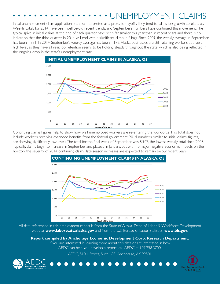# UNEMPLOYMENT CLAIMS

Initial unemployment claim applications can be interpreted as a proxy for layoffs. They tend to fall as job growth accelerates. Weekly totals for 2014 have been well below recent trends, and September's numbers have continued this movement. The typical spike in initial claims at the end of each quarter have been far smaller this year than in recent years and there is no indication that the third quarter in 2014 will end with a significant climb in filings. Since 2009, the weekly average in September has been 1,881. In 2014, September's weekly average has been 1,172. Alaska businesses are still retaining workers at a very high level, as they have all year. Job retention seems to be holding steady throughout the state, which is also being reflected in the ongoing drop in the state's unemployment rate.



Continuing claims figures help to show how well unemployed workers are re-entering the workforce. This total does not include workers receiving extended benefits from the federal government. 2014 numbers, similar to initial claims' figures, are showing significantly low levels. The total for the final week of September was 8,947, the lowest weekly total since 2008. Typically, claims begin to increase in September and plateau in January, but with no major negative economic impacts on the horizon, the severity of 2014 continuing claims' late season increases are expected to remain below recent years.



Continuing Unemployment Claims in Alaska All data referenced in this employment report is from the State of Alaska, Dept. of Labor & Workforce Development website: **www.laborstats.alaska.gov** and from the U.S. Bureau of Labor Statistics: **www.bls.gov.**

Report compiled by Anchorage Economic Development Corp. Research Department. If you are interested in learning more about this data or are interested in how

AEDC can help you develop a report, call AEDC at 907.258.3700.

AEDC, 510 L Street, Suite 603, Anchorage, AK 99501

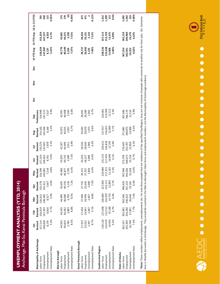| くちこくり しんけんく しこじメニスこう トライルス スクス・ス<br>こしくこく<br>ľ<br>"我们是我们的事情。" |  |
|---------------------------------------------------------------|--|

· Anchorage · Mat-Su Borough · Kenai Peninsula Borough ·

|                           | Jan                                                   | Feb                                                       | Μar                                  | Āpr                                                       | Vay                                                   |                                                                        |                                                                      |                                                        |                                                            | ğ | $\frac{5}{2}$ | Dec | 14 YTD Avg 13 YTD Avg 14 vs 13 (YTD)  |                                       |                                      |
|---------------------------|-------------------------------------------------------|-----------------------------------------------------------|--------------------------------------|-----------------------------------------------------------|-------------------------------------------------------|------------------------------------------------------------------------|----------------------------------------------------------------------|--------------------------------------------------------|------------------------------------------------------------|---|---------------|-----|---------------------------------------|---------------------------------------|--------------------------------------|
| Municipality of Anchorage |                                                       |                                                           | <b>Revised</b><br>156,912<br>148,385 |                                                           |                                                       | <b>Jun<br/>Revised</b><br>157,324<br>148,563<br>8,761<br>8,761<br>5.6% | <b>Jul</b><br><b>Revised</b><br>155,570<br>147,692<br>7,878<br>7,878 |                                                        |                                                            |   |               |     |                                       |                                       |                                      |
| abor Force                |                                                       |                                                           |                                      |                                                           |                                                       |                                                                        |                                                                      |                                                        |                                                            |   |               |     |                                       |                                       |                                      |
| imployment                |                                                       |                                                           |                                      |                                                           |                                                       |                                                                        |                                                                      |                                                        |                                                            |   |               |     | 156,024<br>147,887<br>8,137<br>5.22%  | 155,259<br>147,237<br>8,023<br>5.17%  | 765<br>650<br>115%                   |
| Jnemployment              |                                                       |                                                           |                                      |                                                           |                                                       |                                                                        |                                                                      |                                                        |                                                            |   |               |     |                                       |                                       |                                      |
| Jnemployment Rate         | <b>Revised</b><br>157,114<br>148,838<br>8,276<br>8,3% | <b>Revised<br/>156,019<br/>147,203<br/>8,816<br/>5.7%</b> | 8,527<br>5.4%                        | <b>Revised<br/>155,578<br/>147,911<br/>7,667<br/>4.9%</b> | <b>Revised</b><br>156,599<br>149,081<br>7,518<br>4.8% |                                                                        |                                                                      | Aug<br>Revised<br>154,102<br>145,936<br>8,166<br>8,166 | Sep<br>Preliminary<br>154,999<br>147,372<br>1,627<br>7,627 |   |               |     |                                       |                                       |                                      |
| Mat-Su Borough            |                                                       |                                                           |                                      |                                                           |                                                       |                                                                        |                                                                      |                                                        |                                                            |   |               |     |                                       |                                       |                                      |
| Labor Force               |                                                       |                                                           |                                      |                                                           |                                                       |                                                                        |                                                                      |                                                        |                                                            |   |               |     |                                       |                                       |                                      |
| Employment                |                                                       |                                                           |                                      |                                                           |                                                       |                                                                        |                                                                      |                                                        |                                                            |   |               |     |                                       |                                       |                                      |
| Jnemployment              | $44,593$<br>$40,810$<br>$3,783$<br>$8.5%$             | 44,245<br>40,362<br>3,883<br>8.8%                         | 44,485<br>40,686<br>3,799<br>8.5%    | 43,692<br>40,556<br>3,136<br>7.2%                         | 43,660<br>40,877<br>2,783<br>6.4%                     |                                                                        |                                                                      |                                                        |                                                            |   |               |     |                                       |                                       | $174$<br>$178$<br>$94\%$<br>$94\%$   |
| Jnemployment Rate         |                                                       |                                                           |                                      |                                                           |                                                       | 43,935<br>40,735<br>3,200<br>7.3%                                      | 43,507<br>40,496<br>3,011<br>6.9%                                    | $42,872$<br>$40,015$<br>$2,857$<br>$6.7\%$             | 42,991<br>40,408<br>2,583<br>6.0%                          |   |               |     | 43,776<br>40,549<br>3,226<br>7.37%    | 43,601<br>40,371<br>3,230<br>7.41%    |                                      |
| Kenai Peninsula Borough   |                                                       |                                                           |                                      |                                                           |                                                       |                                                                        |                                                                      |                                                        |                                                            |   |               |     |                                       |                                       |                                      |
| abor Force                |                                                       |                                                           |                                      |                                                           |                                                       |                                                                        |                                                                      |                                                        |                                                            |   |               |     |                                       |                                       |                                      |
| Employment                |                                                       |                                                           |                                      |                                                           |                                                       |                                                                        |                                                                      |                                                        |                                                            |   |               |     |                                       |                                       |                                      |
| Jnemployment              | 27,419<br>25,022<br>2,397<br>8.7%                     | 27,434<br>24,947<br>2,487<br>9.1%                         | 27,406<br>24,999<br>2,407<br>8.8%    | 27,735<br>25,645<br>2,090<br>7.5%                         | 29,221<br>27,357<br>1,864<br>6.4%                     |                                                                        | 30,536<br>28,630<br>1,906<br>6.2%                                    |                                                        | 28,491<br>26,589<br>1,902<br>6.7%                          |   |               |     | 28,727<br>26,602<br>2,125<br>7.40%    | 28,254<br>26,131<br>2,123<br>7.51%    | $473$<br>$471$<br>$72\%$<br>$0.12\%$ |
| Jnemployment Rate         |                                                       |                                                           |                                      |                                                           |                                                       | 30,256<br>28,157<br>2,099<br>6.9%                                      |                                                                      | 30,043<br>28,070<br>1,973<br>6.6%                      |                                                            |   |               |     |                                       |                                       |                                      |
| Southcentral Region       |                                                       |                                                           |                                      |                                                           |                                                       |                                                                        |                                                                      |                                                        |                                                            |   |               |     |                                       |                                       |                                      |
| abor Force                |                                                       |                                                           |                                      |                                                           |                                                       |                                                                        |                                                                      |                                                        |                                                            |   |               |     |                                       |                                       |                                      |
| Employment                | 229,126<br>214,670<br>14,456<br>6.3%                  | 227,698<br>212,512<br>15,186<br>6.7%                      | 228,803<br>214,070<br>14,733<br>6.4% | 227,005<br>214,112<br>12,893<br>5.7%                      | 229,480<br>217,315<br>12,165<br>5.3%                  | 231,515<br>217,455<br>14,060<br>6.1%                                   | 229,613<br>216,818<br>12,795<br>5.6%                                 | 227,017<br>214,021<br>12,996<br>5.7%                   | 226, 481<br>214, 369<br>12, 112<br>5.3%                    |   |               |     |                                       | 227,115<br>213,739<br>13,375<br>5.89% | 1,412<br>1,299<br>1,3<br>1,3<br>0.0% |
| Jnemployment              |                                                       |                                                           |                                      |                                                           |                                                       |                                                                        |                                                                      |                                                        |                                                            |   |               |     |                                       |                                       |                                      |
| Jnemployment Rate         |                                                       |                                                           |                                      |                                                           |                                                       |                                                                        |                                                                      |                                                        |                                                            |   |               |     | 228,526<br>215,038<br>13,488<br>5.90% |                                       |                                      |
| State of Alaska           |                                                       |                                                           |                                      |                                                           |                                                       |                                                                        |                                                                      |                                                        |                                                            |   |               |     |                                       |                                       |                                      |
| Labor Force               | 362,147                                               |                                                           |                                      |                                                           |                                                       |                                                                        |                                                                      |                                                        |                                                            |   |               |     |                                       |                                       |                                      |
| Employment                |                                                       |                                                           |                                      |                                                           |                                                       |                                                                        |                                                                      |                                                        |                                                            |   |               |     |                                       |                                       |                                      |
| Unemployment              |                                                       |                                                           |                                      |                                                           |                                                       |                                                                        |                                                                      |                                                        |                                                            |   |               |     |                                       |                                       |                                      |
| Unemployment Rate         | 335,399<br>26,748<br>7.4%                             | 362,081<br>334,280<br>27,801<br>7.7%                      | 363,566<br>336,922<br>26,644<br>7.3% | 360,434<br>337,253<br>23,181<br>6.4%                      | 367,044<br>345,026<br>22,018<br>6.0%                  | 373,799<br>348,673<br>25,126<br>6.7%                                   | 376,645<br>353,787<br>22,858<br>6.1%                                 | 371,881<br>348,872<br>23,009<br>6.2%                   | 367,686<br>346,170<br>21,516<br>5.9%                       |   |               |     | 367,254<br>342,931<br>24,322<br>6.62% | 365,159<br>340,989<br>24,170<br>6.62% | 2,095<br>1,942<br>1.53<br>0.00%      |

\*Note: These numbers reflect employment, unemployment, etc. for only those people that are residence of the specified City/Region, thus are not inclusive of people who commute to another city for their jobs. (Ex: Someone \*Note: These numbers reflect employment, unemployment, etc. for only those people that are residence of the specified City/Region, thus are not inclusive of people who commute to another city for their jobs. (Ex: Someone lives in Wasilla but works in Anchorage. They would be counted in the Mat-Su Borough's labor force and employment numbers, not the Municipality of Anchorage numbers) lives in Wasilla but works in Anchorage. They would be counted in the Mat-Su Borough's labor force and employment numbers, not the Municipality of Anchorage numbers)

![](_page_7_Picture_3.jpeg)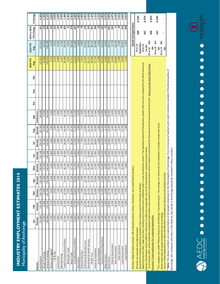| Municipality of Anchorage                                                                                                                                                                                                                                                                              |                    |                    |                    |                    |                    |                    |                    |                    |                        |   |        |   |          |                             |                          |          |
|--------------------------------------------------------------------------------------------------------------------------------------------------------------------------------------------------------------------------------------------------------------------------------------------------------|--------------------|--------------------|--------------------|--------------------|--------------------|--------------------|--------------------|--------------------|------------------------|---|--------|---|----------|-----------------------------|--------------------------|----------|
|                                                                                                                                                                                                                                                                                                        |                    |                    |                    |                    |                    |                    |                    |                    |                        |   |        |   | 2014 YTD | 2013 YTD                    | 2014 vs 2013             |          |
|                                                                                                                                                                                                                                                                                                        | Ξ                  | 읉                  | nar<br>∑           | Ąpr                | Nay                | lun                | Ξ                  | Aug                | Sep                    | ğ | ≥<br>S | ă | Avg.     | Avg.                        | <b>YTD Change</b>        | % Change |
| <b>Total Nonfarm</b><br>Industry                                                                                                                                                                                                                                                                       | 152,800<br>Revised | 154,300<br>Revised | 154,700<br>Revised | 156,300<br>Revised | 158,800<br>Revised | 161,300<br>Revised | 159,100<br>Revised | 162,500<br>Revised | 160,600<br>Preliminary |   |        |   | 157,822  | 157,411                     |                          | 0.26%    |
| Goods Producing                                                                                                                                                                                                                                                                                        | 12,400             | 12,800             | 12,800             | 13,400             | 14,200             | 15,300             | 16,200             | 16,600             | 15,900                 |   |        |   | 14,400   | 14,222                      | 178<br>411               | 1.25%    |
| Services Providing                                                                                                                                                                                                                                                                                     | 140,400            | 141,600            | 141,900            | 142,900            | 144,600            | 146,000            | 143,000            | 145,900            | 144,600                |   |        |   | 143,433  | 143,189                     | 244                      | 0.17%    |
| Mining and Logging                                                                                                                                                                                                                                                                                     | 3,700              | 3,700              | 3,600              | 3,600              | 3,600              | 3,800              | 3,800              | 3,800              | 3,900                  |   |        |   | 3,722    | 3,578                       | 144                      | 4.04%    |
| Oil & Gas                                                                                                                                                                                                                                                                                              | 3,500              | 3,500              | 3,500              | 3,400              | 3,400              | 3,600              | 3,600              | 3,600              | 3,700                  |   |        |   | 3,533    | 3,411                       | <b>22</b>                | 3.58%    |
| Construction                                                                                                                                                                                                                                                                                           | 6,800              | 7,100              | 7,200              | 7,600              | 8,300              | 9,400              | 9,800              | 10,400             | 9,800                  |   |        |   | 8,489    | 8,356                       | 133                      | 1.60%    |
| Manufacturing                                                                                                                                                                                                                                                                                          | 1,900              | 2,000              | 2,000              | 2,100              | 2,300              | 2,100              | 2,500              | 2,400              | 2,200                  |   |        |   | 2,167    | 2,256                       | ౙ                        | $-3.94%$ |
| Trade/Transportation/Utilities                                                                                                                                                                                                                                                                         | 32,300             | 32,200             | 32,300             | 33,000             | 34,100             | 34,300             | 34,600             | 34,600             | 34,100                 |   |        |   | 33,500   | 33,078                      | 422                      | 1.28%    |
| Wholesale Trade                                                                                                                                                                                                                                                                                        | 4,700              | 4,700              | 4,800              | 4,900              | 5,000              | 5,100              | 5,200              | 5,100              | 5,100                  |   |        |   | 4,956    | 4,933                       | $\boldsymbol{z}$         | 0.45%    |
| Retail Trade                                                                                                                                                                                                                                                                                           | 17,000             | 16,800             | 16,800             | 17,300             | 17,700             | 17,900             | 18,100             | 18,100             | 17,900                 |   |        |   | 17,511   | 16,933                      | 578                      | 3.41%    |
| Trans/Warehouse/Utilities                                                                                                                                                                                                                                                                              | 10,600             | 10,700             | 10,800             | 10,800             | 11,400             | 11,300             | 11,300             | 11,300             | 11,100                 |   |        |   | 11,033   | 11,200                      | -167                     | $-1.49%$ |
| Information                                                                                                                                                                                                                                                                                            | 3,900              | 3,900              | 3,900              | 3,900              | 3,900              | 3,900              | 4,000              | 3,900              | 4,000                  |   |        |   | 3,922    | 3,844                       | 78                       | 2.02%    |
| Financial Activities                                                                                                                                                                                                                                                                                   | 7,500              | 7,500              | 7,400              | 7,500              | 7,500              | 7,700              | 7,700              | 7,500              | 7,400                  |   |        |   | 7,522    | 7,600                       | -78                      | $-1.02%$ |
| Professional & Business Svcs                                                                                                                                                                                                                                                                           | 20,100             | 20,500             | 20,500             | 20,700             | 21,500             | 21,700             | 21,600             | 21,800             | 21,500                 |   |        |   | 21,100   | 20,922                      | 178                      | 0.85%    |
| Educational & Health Services                                                                                                                                                                                                                                                                          | 24,900             | 25,200             | 25,200             | 25,200             | 25,300             | 25,000             | 25,100             | 25,100             | 25,000                 |   |        |   | 25,111   | 24,978                      | 133                      | 0.53%    |
| Health Care                                                                                                                                                                                                                                                                                            | 18,200             | 18,400             | 18,400             | 18,300             | 18,400             | 18,600             | 18,500             | 18,500             | 18,300                 |   |        |   | 18,400   | 18,133                      | 267                      | 1.47%    |
| Leisure & Hospitality                                                                                                                                                                                                                                                                                  | 16,300             | 16,500             | 16,800             | 16,800             | 17,000             | 17,800             | 18,000             | 18,000             | 17,400                 |   |        |   | 17,178   | 16,989                      | 189                      | 1.11%    |
| Accommodation                                                                                                                                                                                                                                                                                          | 3,100              | 3,100              | 3,200              | 3,100              | 3,100              | 3,300              | 3,300              | 3,300              | 3,200                  |   |        |   | 3,189    | 3,244                       | -56                      | $-1.71%$ |
| Food Svcs & Drinking Places                                                                                                                                                                                                                                                                            | 11,100             | 11,100             | 11,300             | 11,400             | 11,600             | 12,100             | 12,100             | 12,100             | 11,900                 |   |        |   | 11,633   | 11,411                      | 222                      | 1.95%    |
| Other Services                                                                                                                                                                                                                                                                                         | 5,900              | 6,000              | 6,000              | 6,000              | 6,000              | 6,200              | 6,200              | 6,100              | 6,000                  |   |        |   | 6,044    | 6,022                       | 2                        | 0.37%    |
| Government                                                                                                                                                                                                                                                                                             | 29,500             | 29,800             | 29,700             | 29,900             | 29,300             | 29,400             | 25,800             | 29,000             | 29,400                 |   |        |   | 29,089   | 29,711                      | -622                     | $-2.09%$ |
| Federal Government                                                                                                                                                                                                                                                                                     | 8,500              | 8,500              | 8,400              | 8,400              | 8,500              | 8,500              | 8,500              | 8,400              | 8,400                  |   |        |   | 8,456    | 8,778                       | $-322$                   | $-3.67%$ |
| State Government                                                                                                                                                                                                                                                                                       | 10,800             | 10,900             | 10,900             | 11,000             | 10,500             | 10,500             | 10,200             | 10,400             | 11,000                 |   |        |   | 10,689   | 10,678                      | ដ                        | 0.10%    |
| State Education                                                                                                                                                                                                                                                                                        | 2,800              | 3,000              | 3,000              | 3,000              | 2,400              | 2,100              | 2,000              | 2,200              | 2,800                  |   |        |   | 2,589    | 2,500                       | 89                       | 3.56%    |
| Local Government                                                                                                                                                                                                                                                                                       | 10,200             | 10,400             | 10,400             | 10,500             | 10,400             | 10,400             | 7,100              | 10,200             | 10,000                 |   |        |   | 9,956    | 10,267                      | -311                     | $-3.03%$ |
| Local Education                                                                                                                                                                                                                                                                                        | 7,400              | 7,600              | 7,500              | 7,700              | 7,600              | 7,500              | 4,200              | 7,400              | 7,200                  |   |        |   | 7,122    | 7,467                       | $-344$                   | $-4.61%$ |
|                                                                                                                                                                                                                                                                                                        |                    |                    |                    |                    |                    |                    |                    |                    |                        |   |        |   |          |                             |                          |          |
| Nonfarm Wage & Salary excludes self-employed workers, fishers, domestics, and unpaid family workers.                                                                                                                                                                                                   |                    |                    |                    |                    |                    |                    |                    |                    |                        |   |        |   |          |                             | <b>Quick Comparisons</b> |          |
| Government includes employees of public school systems and the University of Alaska.<br>All totals are seasonly non-adjusted totals.                                                                                                                                                                   |                    |                    |                    |                    |                    |                    |                    |                    |                        |   |        |   |          | 14 vs 13                    | 90                       | 0.19%    |
| Beginning January 2001, wage and salary employment estimates were published under a new classification system (The Standard Industrial Classification system (SIC) has been replaced by the North American                                                                                             |                    |                    |                    |                    |                    |                    |                    |                    |                        |   |        |   |          | September<br>14 vs 13       |                          |          |
| ndustry Classification System (NAICS). Data prior to 2001 are comparable only at the Total Nonfarm and Government levels                                                                                                                                                                               |                    |                    |                    |                    |                    |                    |                    |                    |                        |   |        |   |          | 1st Qtr                     | 567                      | 0.37%    |
| <sup>/</sup> As of January 2001, certain federally-recognized tribal entities were moved to Local Government for a bease the Dovernment and Local Government. Please see the April 2002 Alaska                                                                                                         |                    |                    |                    |                    |                    |                    |                    |                    |                        |   |        |   |          | 2 <sub>nd</sub><br>14 vs 13 | 500                      | 0.32%    |
| Economic Trends publication for a detailed explanation.                                                                                                                                                                                                                                                |                    |                    |                    |                    |                    |                    |                    |                    |                        |   |        |   |          | 3rd<br>14 vs 13<br>ä        |                          |          |
| ${}^2$ This category was called "Natural Resources and Mining" in previous years. The change is in name only; the industries it includes remain the same.                                                                                                                                              |                    |                    |                    |                    |                    |                    |                    |                    |                        |   |        |   |          | ä.                          | 167                      | 0.10%    |
| Some totals may not equal components due to rounding.                                                                                                                                                                                                                                                  |                    |                    |                    |                    |                    |                    |                    |                    |                        |   |        |   |          | 4th<br>14 vs 13             | ٠                        |          |
| Source: Alaska Department of Labor and Workforce Development, Research and Analysis Section                                                                                                                                                                                                            |                    |                    |                    |                    |                    |                    |                    |                    |                        |   |        |   |          | ä                           |                          |          |
| $^*$ Note: The above numbers are representative of all people employed in the Municipality of Anchorage, this is inclusive of workers who claim residence outside of the Municipality of<br>Anchorage. (Ex: someone who lives in the Mat-Su, but works in Anchorage would be included in these number) |                    |                    |                    |                    |                    |                    |                    |                    |                        |   |        |   |          |                             |                          |          |

**INDUSTRY EMPLOYMENT ESTIMATES 2014**

INDUSTRY EMPLOYMENT ESTIMATES 2014

 $14$ 

![](_page_8_Picture_1.jpeg)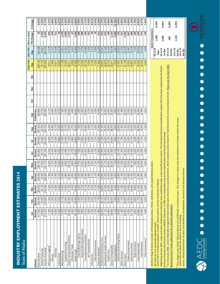| State of Alaska                                                                                                                                                                                          |         |         |         |                         |                 |         |         |         |             |   |               |   |                  |                      |                                   |           |
|----------------------------------------------------------------------------------------------------------------------------------------------------------------------------------------------------------|---------|---------|---------|-------------------------|-----------------|---------|---------|---------|-------------|---|---------------|---|------------------|----------------------|-----------------------------------|-----------|
|                                                                                                                                                                                                          | 을       | ᇛ       | Nar     | ðþ                      | Vay             | å       | Ξ       | Aug     | Sep         | ö | $\frac{8}{2}$ | ă | 2014 YTD<br>Avg. | 2013 YTD<br>Avg.     | <b>YTD Change</b><br>2014 vs 2013 | % Change  |
| Industry                                                                                                                                                                                                 | Revised | Revised | Revised | Revised                 | Revised         | Revised | Revised | Revised | Preliminary |   |               |   |                  |                      |                                   |           |
| <b>Total Nonfarm</b>                                                                                                                                                                                     | 317,300 | 322,300 | 325,500 | 329,000                 | 338,700         | 353,500 | 359,000 | 357,200 | 349,600     |   |               |   | 339,122          | 339,100              | 22                                | 0.01%     |
| Goods Producing                                                                                                                                                                                          | 43,600  | 45,500  | 46,100  | 46,400                  | 47,600          | 56,100  | 65,600  | 62,500  | 55,700      |   |               |   | 52,122           | 49,867               | 2,256                             | 4.52%     |
| Services Providing                                                                                                                                                                                       | 273,700 | 276,800 | 279,400 | 282,600                 | 291,100         | 297,400 | 293,400 | 294,700 | 293,900     |   |               |   | 287,000          | 289,233              | $-2,233$                          | -0.77%    |
| Mining and Logging                                                                                                                                                                                       | 17,000  | 17,200  | 17,500  | 17,900                  | 18,300          | 19,000  | 19,400  | 19,400  | 19,100      |   |               |   | 18,311           | 17,478               | 83                                | 4.77%     |
| Mining                                                                                                                                                                                                   | 16,900  | 17,000  | 17,200  | 17,400                  | 17,700          | 18,400  | 18,700  | 18,800  | 18,600      |   |               |   | 17,856           | 17,222               | 633                               | 3.68%     |
| Oil & Gas                                                                                                                                                                                                | 14,200  | 14,200  | 14,300  | 14,400                  | 14,500          | 14,800  | 15,000  | 15,100  | 15,000      |   |               |   | 14,611           | 14,100               | 511                               | 3.62%     |
| Construction                                                                                                                                                                                             | 14,400  | 14,200  | 14,400  | 15,100                  | 16,400          | 18,000  | 18,800  | 19,600  | 18,700      |   |               |   | 16,622           | 16,578               | 44                                | 0.27%     |
| Manufacturing                                                                                                                                                                                            | 12,200  | 14,100  | 14,200  | 13,400                  | 12,900          | 19,100  | 27,400  | 23,500  | 17,900      |   |               |   | 17,189           | 15,811               | 1,378                             | 8.71%     |
| Seafood Processing                                                                                                                                                                                       | 8,700   | 10,500  | 10,600  | 9,800                   | 8,600           | 14,600  | 22,400  | 18,700  | 13,300      |   |               |   | 13,022           | 12,022               | 1,000                             | 8.32%     |
| Trade/Transportation/Utilities                                                                                                                                                                           | 60,500  | 60,800  | 61,300  | 62,800                  | 68,100          | 70,100  | 71,000  | 70,900  | 68,600      |   |               |   | 66,011           | 64,478               | 1,533                             | 2.38%     |
| Wholesale Trade                                                                                                                                                                                          | 6,300   | 6,400   | 6,400   | 6,500                   | 6,600           | 6,700   | 6,800   | 6,700   | 6,600       |   |               |   | 6,556            | 6,622                | Ģ                                 | $-1.01%$  |
| Retail Trade                                                                                                                                                                                             | 35,100  | 34,900  | 35,200  | 36,000                  | 37,900          | 39,200  | 39,600  | 39,400  | 38,400      |   |               |   | 37,300           | 35,856               | 1,444                             | 4.03%     |
| Food & Beverage Stores                                                                                                                                                                                   | 6,200   | 6,400   | 6,400   | 6,400                   | 6,700           | 7,000   | 7,300   | 7,300   | 6,900       |   |               |   | 6,733            | 6,144                | 589                               | 9.58%     |
| General Merchandise Stores                                                                                                                                                                               | 9,900   | 9,700   | 9,700   | 9,900                   | 10,200          | 10,600  | 10,800  | 10,700  | 10,600      |   |               |   | 10,233           | 9,744                | 489                               | 5.02%     |
| Trans/Warehouse/Utilities                                                                                                                                                                                | 19,100  | 19,500  | 19,700  | 20,300                  | 23,600          | 24,200  | 24,600  | 24,800  | 23,600      |   |               |   | 22,156           | 22,000               | 156                               | 0.71%     |
| Air Transportation                                                                                                                                                                                       | 5,500   | 5,500   | 5,700   | 5,800                   | 6,500           | 6,800   | 6,900   | 6,900   | 6,700       |   |               |   | 6,256            | 5,933                | 322                               | 5.43%     |
| Information                                                                                                                                                                                              | 6,200   | 6,200   | 6,200   | 6,100                   | 6,200           | 6,300   | 6,200   | 6,100   | 6,200       |   |               |   | 6,189            | 6,133                | 56                                | 0.91%     |
| Telecommunications                                                                                                                                                                                       | 4,100   | 4,100   | 4,100   | 4,100                   | 4,100           | 4,100   | 4,100   | 4,000   | 4,000       |   |               |   | 4,078            | 4,056                | 22                                | 0.55%     |
| Financial Activities                                                                                                                                                                                     | 11,800  | 11,700  | 11,600  | 11,600                  | 11,700          | 12,200  | 12,500  | 12,300  | 12,000      |   |               |   | 11,933           | 12,244               | $-311$                            | $-2.54%$  |
| Professional & Business Svcs                                                                                                                                                                             | 28,200  | 28,100  | 28,600  | 29,200                  | 30,000          | 30,900  | 31,000  | 31,500  | 31,100      |   |               |   | 29,844           | 30,367               | $-522$                            | $-1.72%$  |
| Educational & Health Services                                                                                                                                                                            | 47,100  | 47,500  | 47,600  | 47,200                  | 47,100          | 46,300  | 46,000  | 46,500  | 46,600      |   |               |   | 46,878           | 47,100               | $-222$                            | $-0.47%$  |
| Health Care                                                                                                                                                                                              | 33,600  | 33,700  | 33,900  | 33,500                  | 33,600          | 33,900  | 33,700  | 33,900  | 33,500      |   |               |   | 33,700           | 33,544               | 156                               | 0.46%     |
| Leisure & Hospitality                                                                                                                                                                                    | 28,500  | 28,600  | 29,900  | 30,600                  | 33,300          | 37,800  | 38,600  | 38,500  | 35,800      |   |               |   | 33,511           | 34,678               | $-1,167$                          | $-3.36%$  |
| Accommodation                                                                                                                                                                                            | 6,100   | 5,900   | 6,000   | 6,200                   | 7,100           | 9,100   | 9,600   | 9,600   | 8,600       |   |               |   | 7,578            | 8,667                | $-1,089$                          | $-12.56%$ |
| Food Svcs & Drinking Places                                                                                                                                                                              | 18,500  | 18,600  | 19,500  | 19,900                  | 21,300          | 23,100  | 23,100  | 23,200  | 22,400      |   |               |   | 21,067           | 20,933               | 133                               | 0.64%     |
| Other Services                                                                                                                                                                                           | 11,400  | 11,100  | 11,300  | 11,400                  | 11,500          | 11,500  | 11,700  | 11,500  | 11,600      |   |               |   | 11,444           | 11,756               | $-311$                            | $-2.65%$  |
| Government                                                                                                                                                                                               | 80,000  | 82,800  | 82,900  | 83,700                  | 83,200          | 82,300  | 76,400  | 77,400  | 82,000      |   |               |   | 81,189           | 82,478               | $-1,289$                          | $-1.56%$  |
| Federal Government                                                                                                                                                                                       | 14,500  | 14,500  | 14,600  | 14,900                  | 15,200          | 15,500  | 15,500  | 15,300  | 15,000      |   |               |   | 15,000           | 15,667               | -667                              | $-4.26%$  |
| State Government                                                                                                                                                                                         | 24,700  | 26,600  | 26,800  | 27,000                  | 26,100          | 25,300  | 24,700  | 25,200  | 26,400      |   |               |   | 25,867           | 26,156               | $-289$                            | $-1.10%$  |
| State Education                                                                                                                                                                                          | 6,600   | 8,600   | 8,600   | 8,700                   | 7,600           | 6,200   | 6,000   | 6,500   | 8,200       |   |               |   | 7,444            | 7,544                | $-100$                            | $-1.33%$  |
| Local Government                                                                                                                                                                                         | 40,800  | 41,700  | 41,500  | 41,800                  | 41,900          | 41,500  | 36,200  | 36,900  | 40,600      |   |               |   | 40,322           | 40,656               | $-333$                            | $-0.82%$  |
| Local Education                                                                                                                                                                                          | 22,900  | 23,800  | 23,600  | 006 <sub>1</sub><br>23, | 23,500          | 22,300  | 17,100  | 18,300  | 22,900      |   |               |   | 22,033           | 22,544               | ដូ                                | $-2.27%$  |
| Tribal Government <sup>1</sup>                                                                                                                                                                           | 3,600   | 3,500   | 3,500   | 500<br>က                | 3,900           | 4,200   | 4,400   | 4,500   | 4,200       |   |               |   | 3,922            | 3,644                | 278                               | 7.62%     |
|                                                                                                                                                                                                          |         |         |         |                         |                 |         |         |         |             |   |               |   |                  |                      |                                   |           |
| Nonfarm Wage & Salary excludes self-employed workers, fishers, domestics, and unpaid                                                                                                                     |         |         |         |                         | family workers. |         |         |         |             |   |               |   |                  |                      | Quick Comparisons                 |           |
| Government includes employees of public school systems and the University of Alaska.<br>All totals are non-seasonally adjusted totals.                                                                   |         |         |         |                         |                 |         |         |         |             |   |               |   |                  | 14 vs 13             | $-1,200$                          | $-0.34%$  |
| Beginning January 2001, wage and salary employment estimates were published under a new classification system. The Standard Industrial Classification system (SIC) has been replaced by the North        |         |         |         |                         |                 |         |         |         |             |   |               |   |                  | 14 vs 13<br>Sept.    |                                   |           |
| American Industry Classification System (NAICS). Data prior to 2001 are comparable only at the Total Nonfarm and Government levels.                                                                      |         |         |         |                         |                 |         |         |         |             |   |               |   |                  | 1st Qtr              | 1,600                             | 0.50%     |
| <sup>1/</sup> As of January 2001, certain federally-recognized tribal entities were moved to Local Governed a series break for Total Government and Local Government. <u>Please see the April 2002</u>   |         |         |         |                         |                 |         |         |         |             |   |               |   |                  | 14 vs 13             | -300                              | $-0.09%$  |
| Alaska Economic Trends publication for a detailed explanation.                                                                                                                                           |         |         |         |                         |                 |         |         |         |             |   |               |   |                  | 2nd Qtr              |                                   |           |
|                                                                                                                                                                                                          |         |         |         |                         |                 |         |         |         |             |   |               |   |                  | 14 vs 13             | $-1,233$                          | $-0.35%$  |
| This category was called "Natural Resources and Mining" in previous years. The change is in name only; the industries it includes remain the same.<br>Totals may not equal sub-sections due to rounding. |         |         |         |                         |                 |         |         |         |             |   |               |   |                  | 14 vs 13<br>3rd Qtr. |                                   |           |
| Source: Alaska Department of Labor and Workforce Development, Research and Analysis Section                                                                                                              |         |         |         |                         |                 |         |         |         |             |   |               |   |                  | 4th Qtr              |                                   |           |
|                                                                                                                                                                                                          |         |         |         |                         |                 |         |         |         |             |   |               |   |                  |                      |                                   |           |
|                                                                                                                                                                                                          |         |         |         |                         |                 |         |         |         |             |   |               |   |                  |                      |                                   |           |
|                                                                                                                                                                                                          |         |         |         |                         |                 |         |         |         |             |   |               |   |                  |                      |                                   |           |

**INDUSTRY EMPLOYMENT ESTIMATES 2014**

INDUSTRY EMPLOYMENT ESTIMATES 2014

Industry Employment Estimates 2014

![](_page_9_Picture_1.jpeg)

**First National Bank** 

**,!3+ !**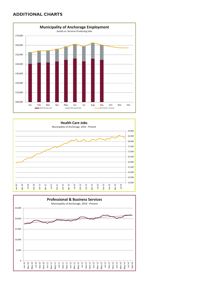#### **ADDITIONAL CHARTS**

![](_page_10_Figure_1.jpeg)

![](_page_10_Figure_2.jpeg)

![](_page_10_Figure_3.jpeg)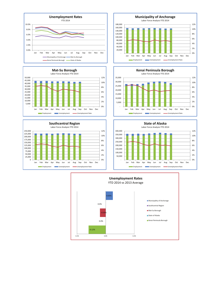![](_page_11_Figure_0.jpeg)

![](_page_11_Figure_1.jpeg)

![](_page_11_Figure_2.jpeg)

![](_page_11_Figure_3.jpeg)

![](_page_11_Figure_4.jpeg)

![](_page_11_Figure_5.jpeg)

![](_page_11_Figure_6.jpeg)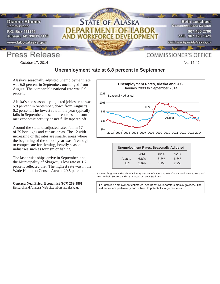![](_page_12_Picture_0.jpeg)

October 17, 2014 **No. 14-42** No. 14-42

### **Unemployment rate at 6.8 percent in September**

Alaska's seasonally adjusted unemployment rate was 6.8 percent in September, unchanged from August. The comparable national rate was 5.9 percent.

Alaska's not-seasonally adjusted jobless rate was 5.9 percent in September, down from August's 6.2 percent. The lowest rate in the year typically falls in September, as school resumes and summer economic activity hasn't fully tapered off.

Around the state, unadjusted rates fell in 17 of 29 boroughs and census areas. The 12 with increasing or flat rates are smaller areas where the beginning of the school year wasn't enough to compensate for slowing, heavily seasonal industries such as tourism or fishing.

The last cruise ships arrive in September, and the Municipality of Skagway's low rate of 1.7 percent reflected that. The highest rate was in the Wade Hampton Census Area at 20.5 percent.

#### **Contact: Neal Fried, Economist (907) 269-4861**

Research and Analysis Web site: laborstats.alaska.gov

![](_page_12_Figure_10.jpeg)

|        |      | <b>Unemployment Rates, Seasonally Adjusted</b> |      |
|--------|------|------------------------------------------------|------|
|        | 9/14 | 8/14                                           | 9/13 |
| Alaska | 6.8% | 6.8%                                           | 6.6% |
| U.S.   | 5.9% | 6.1%                                           | 7.2% |

*Sources for graph and table: Alaska Department of Labor and Workforce Development, Research and Analysis Section; and U.S. Bureau of Labor Statistics*

For detailed employment estimates, see http://live.laborstats.alaska.gov/ces/. The estimates are preliminary and subject to potentially large revisions.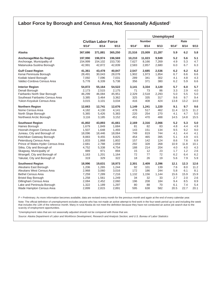#### **Labor Force by Borough and Census Area, Not Seasonally Adjusted**<sup>1</sup>

|                                                           |              |                             |              |           |               | <b>Unemployed</b> |            |            |            |
|-----------------------------------------------------------|--------------|-----------------------------|--------------|-----------|---------------|-------------------|------------|------------|------------|
|                                                           |              | <b>Civilian Labor Force</b> |              |           | <b>Number</b> |                   |            | Rate       |            |
|                                                           | $9/14^P$     | 8/14                        | 9/13         | $9/14^P$  | 8/14          | 9/13              | $9/14^p$   | 8/14       | 9/13       |
| Alaska                                                    | 367,686      | 371,881                     | 365,250      | 21,516    | 23,009        | 21,287            | 5.9        | 6.2        | 5.8        |
| Anchorage/Mat-Su Region                                   | 197,990      | 196.974                     | 196,569      | 10,210    | 11,023        | 9,949             | 5.2        | 5.6        | 5.1        |
| Anchorage, Municipality of                                | 154,999      | 154,102                     | 153,730      | 7,627     | 8,166         | 7,269             | 4.9        | 5.3        | 4.7        |
| Matanuska-Susitna Borough                                 | 42,991       | 42,872                      | 42,839       | 2,583     | 2,857         | 2,680             | 6.0        | 6.7        | 6.3        |
| <b>Gulf Coast Region</b>                                  | 41,361       | 43,478                      | 40,847       | 2,547     | 2,685         | 2,536             | 6.2        | 6.2        | 6.2        |
| Kenai Peninsula Borough                                   | 28,491       | 30,043                      | 28,078       | 1,902     | 1,973         | 1,854             | 6.7        | 6.6        | 6.6        |
| Kodiak Island Borough                                     | 7,092        | 7,096                       | 7,031        | 289       | 341           | 302               | 4.1        | 4.8        | 4.3        |
| Valdez-Cordova Census Area                                | 5,778        | 6,339                       | 5,738        | 356       | 371           | 380               | 6.2        | 5.9        | 6.6        |
| <b>Interior Region</b>                                    | 54,872       | 55,164                      | 54,522       | 3,141     | 3,334         | 3,120             | 5.7        | 6.0        | 5.7        |
| Denali Borough                                            | 2,173        | 2,515                       | 2,175        | 71        | 73            | 86                | 3.3        | 2.9        | 4.0        |
| Fairbanks North Star Borough                              | 46,299       | 46,084                      | 45,951       | 2,329     | 2,518         | 2,293             | 5.0        | 5.5        | 5.0        |
| Southeast Fairbanks Census Area                           | 3,385        | 3,464                       | 3,362        | 325       | 335           | 317               | 9.6        | 9.7        | 9.4        |
| Yukon-Koyukuk Census Area                                 | 3,015        | 3,101                       | 3,034        | 416       | 408           | 424               | 13.8       | 13.2       | 14.0       |
| <b>Northern Region</b>                                    | 12,663       | 12,741                      | 12,676       | 1,149     | 1,241         | 1,220             | 9.1        | 9.7        | 9.6        |
| Nome Census Area                                          | 4,182        | 4,130                       | 4,141        | 478       | 517           | 462               | 11.4       | 12.5       | 11.2       |
| North Slope Borough                                       | 5,365        | 5,426                       | 5,383        | 220       | 254           | 270               | 4.1        | 4.7        | 5.0        |
| Northwest Arctic Borough                                  | 3,116        | 3,185                       | 3,152        | 451       | 470           | 488               | 14.5       | 14.8       | 15.5       |
| <b>Southeast Region</b>                                   | 41,802       | 43,893                      | 41,661       | 2,169     | 2,316         | 2,066             | 5.2        | 5.3        | 5.0        |
| Haines Borough                                            | 1,679        | 1,849                       | 1,684        | 81        | 82            | 83                | 4.8        | 4.4        | 4.9        |
| Hoonah-Angoon Census Area                                 | 1,507        | 1,648                       | 1,493        | 143       | 151           | 134               | 9.5        | 9.2        | 9.0        |
| Juneau, City and Borough of                               | 18,096       | 18,446                      | 18,064       | 749       | 819           | 744               | 4.1        | 4.4        | 4.1        |
| Ketchikan Gateway Borough                                 | 8,883        | 9,455                       | 8,825        | 454       | 465           | 395               | 5.1        | 4.9        | 4.5        |
| Petersburg Census Area                                    | 1,833        | 1,868                       | 1,802        | 157       | 142           | 124               | 8.6        | 7.6        | 6.9        |
| Prince of Wales-Hyder Census Area                         | 2,681        | 2,788                       | 2,659        | 292       | 328           | 268               | 10.9       | 11.8       | 10.1       |
| Sitka, City and Borough of                                | 4,752<br>889 | 5,338<br>971                | 4,754<br>894 | 188<br>15 | 214<br>12     | 204<br>23         | 4.0<br>1.7 | 4.0<br>1.2 | 4.3<br>2.6 |
| Skagway, Municipality of<br>Wrangell, City and Borough of | 1,163        | 1,201                       | 1,164        | 72        | 77            | 72                | 6.2        | 6.4        | 6.2        |
| Yakutat, City and Borough of                              | 319          | 329                         | 322          | 18        | 26            | 19                | 5.6        | 7.9        | 5.9        |
| <b>Southwest Region</b>                                   | 18,996       | 19,631                      | 18,973       | 2,301     | 2,409         | 2,396             | 12.1       | 12.3       | 12.6       |
| Aleutians East Borough                                    | 1,206        | 1,265                       | 1,244        | 92        | 101           | 139               | 7.6        | 8.0        | 11.2       |
| Aleutians West Census Area                                | 2,968        | 3,060                       | 3,016        | 172       | 186           | 244               | 5.8        | 6.1        | 8.1        |
| <b>Bethel Census Area</b>                                 | 7,259        | 7,289                       | 7,216        | 1,132     | 1,156         | 1,144             | 15.6       | 15.9       | 15.9       |
| <b>Bristol Bay Borough</b>                                | 1,258        | 1,561                       | 1,249        | 34        | 32            | 33                | 2.7        | 2.0        | 2.6        |
| Dillingham Census Area                                    | 2,084        | 2,452                       | 2,060        | 196       | 208           | 184               | 9.4        | 8.5        | 8.9        |
| Lake and Peninsula Borough                                | 1,322        | 1,189                       | 1,297        | 80        | 88            | 70                | 6.1        | 7.4        | 5.4        |
| Wade Hampton Census Area                                  | 2,899        | 2,815                       | 2,891        | 595       | 638           | 582               | 20.5       | 22.7       | 20.1       |
|                                                           |              |                             |              |           |               |                   |            |            |            |

P = Preliminary. As more information becomes available, data are revised every month for the previous month and again at the end of every calendar year.

Note: The official definition of unemployment excludes anyone who has not made an active attempt to find work in the four-week period up to and including the week that includes the 12th of the reference month. Many in rural Alaska do not meet the definition because they have not conducted an active job search due to the scarcity of employment opportunities.

1 Unemployment rates that are not seasonally adjusted should not be compared with those that are.

*Source: Alaska Department of Labor and Workforce Development, Research and Analysis Section; and U.S. Bureau of Labor Statistics*